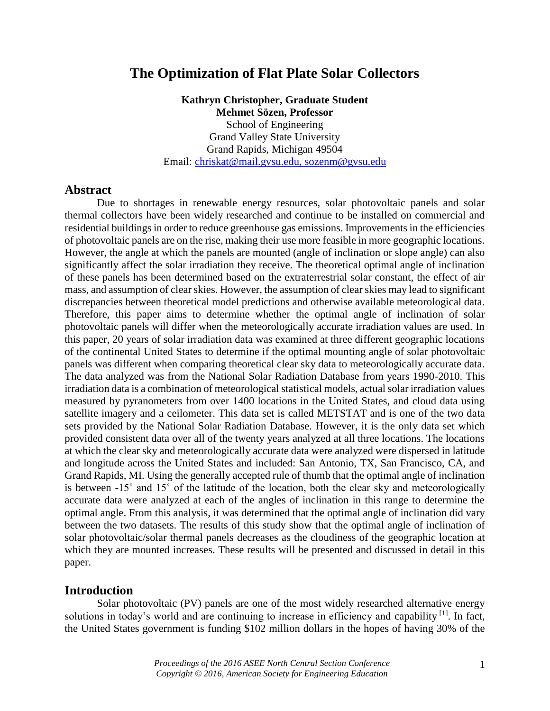# **The Optimization of Flat Plate Solar Collectors**

**Kathryn Christopher, Graduate Student Mehmet Sözen, Professor** School of Engineering Grand Valley State University Grand Rapids, Michigan 49504 Email: [chriskat@mail.gvsu.edu,](mailto:chriskat@mail.gvsu.edu) sozenm@gvsu.edu

### **Abstract**

Due to shortages in renewable energy resources, solar photovoltaic panels and solar thermal collectors have been widely researched and continue to be installed on commercial and residential buildings in order to reduce greenhouse gas emissions. Improvements in the efficiencies of photovoltaic panels are on the rise, making their use more feasible in more geographic locations. However, the angle at which the panels are mounted (angle of inclination or slope angle) can also significantly affect the solar irradiation they receive. The theoretical optimal angle of inclination of these panels has been determined based on the extraterrestrial solar constant, the effect of air mass, and assumption of clear skies. However, the assumption of clear skies may lead to significant discrepancies between theoretical model predictions and otherwise available meteorological data. Therefore, this paper aims to determine whether the optimal angle of inclination of solar photovoltaic panels will differ when the meteorologically accurate irradiation values are used. In this paper, 20 years of solar irradiation data was examined at three different geographic locations of the continental United States to determine if the optimal mounting angle of solar photovoltaic panels was different when comparing theoretical clear sky data to meteorologically accurate data. The data analyzed was from the National Solar Radiation Database from years 1990-2010. This irradiation data is a combination of meteorological statistical models, actual solar irradiation values measured by pyranometers from over 1400 locations in the United States, and cloud data using satellite imagery and a ceilometer. This data set is called METSTAT and is one of the two data sets provided by the National Solar Radiation Database. However, it is the only data set which provided consistent data over all of the twenty years analyzed at all three locations. The locations at which the clear sky and meteorologically accurate data were analyzed were dispersed in latitude and longitude across the United States and included: San Antonio, TX, San Francisco, CA, and Grand Rapids, MI. Using the generally accepted rule of thumb that the optimal angle of inclination is between -15˚ and 15˚ of the latitude of the location, both the clear sky and meteorologically accurate data were analyzed at each of the angles of inclination in this range to determine the optimal angle. From this analysis, it was determined that the optimal angle of inclination did vary between the two datasets. The results of this study show that the optimal angle of inclination of solar photovoltaic/solar thermal panels decreases as the cloudiness of the geographic location at which they are mounted increases. These results will be presented and discussed in detail in this paper.

#### **Introduction**

Solar photovoltaic (PV) panels are one of the most widely researched alternative energy solutions in today's world and are continuing to increase in efficiency and capability <sup>[1]</sup>. In fact, the United States government is funding \$102 million dollars in the hopes of having 30% of the

> *Proceedings of the 2016 ASEE North Central Section Conference Copyright © 2016, American Society for Engineering Education*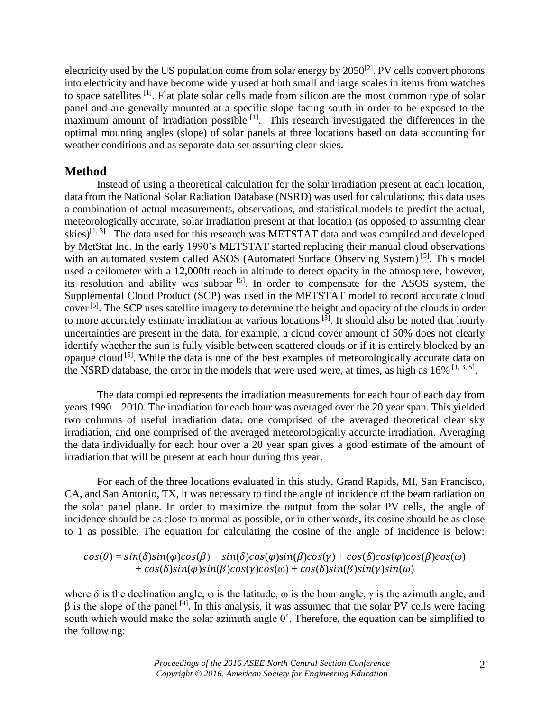electricity used by the US population come from solar energy by  $2050^{2}$ . PV cells convert photons into electricity and have become widely used at both small and large scales in items from watches to space satellites [1]. Flat plate solar cells made from silicon are the most common type of solar panel and are generally mounted at a specific slope facing south in order to be exposed to the maximum amount of irradiation possible  $\left[1\right]$ . This research investigated the differences in the optimal mounting angles (slope) of solar panels at three locations based on data accounting for weather conditions and as separate data set assuming clear skies.

## **Method**

Instead of using a theoretical calculation for the solar irradiation present at each location, data from the National Solar Radiation Database (NSRD) was used for calculations; this data uses a combination of actual measurements, observations, and statistical models to predict the actual, meteorologically accurate, solar irradiation present at that location (as opposed to assuming clear skies)<sup>[1, 3]</sup>. The data used for this research was METSTAT data and was compiled and developed by MetStat Inc. In the early 1990's METSTAT started replacing their manual cloud observations with an automated system called ASOS (Automated Surface Observing System)<sup>[5]</sup>. This model used a ceilometer with a 12,000ft reach in altitude to detect opacity in the atmosphere, however, its resolution and ability was subpar  $[5]$ . In order to compensate for the ASOS system, the Supplemental Cloud Product (SCP) was used in the METSTAT model to record accurate cloud cover<sup>[5]</sup>. The SCP uses satellite imagery to determine the height and opacity of the clouds in order to more accurately estimate irradiation at various locations<sup>[5]</sup>. It should also be noted that hourly uncertainties are present in the data, for example, a cloud cover amount of 50% does not clearly identify whether the sun is fully visible between scattered clouds or if it is entirely blocked by an opaque cloud [5]. While the data is one of the best examples of meteorologically accurate data on the NSRD database, the error in the models that were used were, at times, as high as  $16\%$  [1, 3, 5].

The data compiled represents the irradiation measurements for each hour of each day from years 1990 – 2010. The irradiation for each hour was averaged over the 20 year span. This yielded two columns of useful irradiation data: one comprised of the averaged theoretical clear sky irradiation, and one comprised of the averaged meteorologically accurate irradiation. Averaging the data individually for each hour over a 20 year span gives a good estimate of the amount of irradiation that will be present at each hour during this year.

For each of the three locations evaluated in this study, Grand Rapids, MI, San Francisco, CA, and San Antonio, TX, it was necessary to find the angle of incidence of the beam radiation on the solar panel plane. In order to maximize the output from the solar PV cells, the angle of incidence should be as close to normal as possible, or in other words, its cosine should be as close to 1 as possible. The equation for calculating the cosine of the angle of incidence is below:

$$
cos(\theta) = sin(\delta) sin(\varphi) cos(\beta) - sin(\delta) cos(\varphi) sin(\beta) cos(\gamma) + cos(\delta) cos(\varphi) cos(\beta) cos(\omega) + cos(\delta) sin(\varphi) sin(\beta) cos(\gamma) cos(\omega) + cos(\delta) sin(\beta) sin(\gamma) sin(\omega)
$$

where  $\delta$  is the declination angle,  $\varphi$  is the latitude,  $\omega$  is the hour angle,  $\gamma$  is the azimuth angle, and  $β$  is the slope of the panel <sup>[4]</sup>. In this analysis, it was assumed that the solar PV cells were facing south which would make the solar azimuth angle 0˚. Therefore, the equation can be simplified to the following: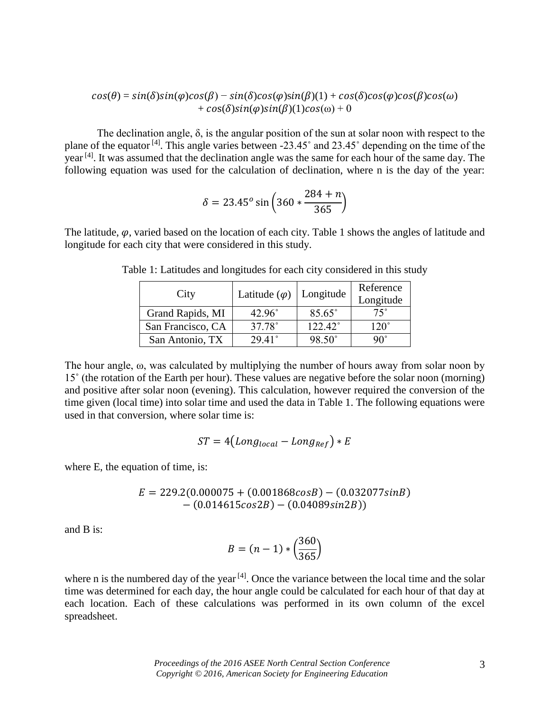$$
cos(\theta) = sin(\delta) sin(\varphi) cos(\beta) - sin(\delta) cos(\varphi) sin(\beta)(1) + cos(\delta) cos(\varphi) cos(\beta) cos(\omega) + cos(\delta) sin(\varphi) sin(\beta)(1) cos(\omega) + 0
$$

The declination angle,  $\delta$ , is the angular position of the sun at solar noon with respect to the plane of the equator<sup>[4]</sup>. This angle varies between -23.45° and 23.45° depending on the time of the year<sup>[4]</sup>. It was assumed that the declination angle was the same for each hour of the same day. The following equation was used for the calculation of declination, where n is the day of the year:

$$
\delta = 23.45^o \sin \left( 360 * \frac{284 + n}{365} \right)
$$

The latitude,  $\varphi$ , varied based on the location of each city. Table 1 shows the angles of latitude and longitude for each city that were considered in this study.

| City              | Latitude $(\varphi)$   Longitude |                 | Reference<br>Longitude |
|-------------------|----------------------------------|-----------------|------------------------|
| Grand Rapids, MI  | $42.96^{\circ}$                  | $85.65^\circ$   | $75^{\circ}$           |
| San Francisco, CA | 37.78°                           | 122.42°         | $120^\circ$            |
| San Antonio, TX   | $29.41^{\circ}$                  | $98.50^{\circ}$ | ۹∩°                    |

Table 1: Latitudes and longitudes for each city considered in this study

The hour angle, ω, was calculated by multiplying the number of hours away from solar noon by 15˚ (the rotation of the Earth per hour). These values are negative before the solar noon (morning) and positive after solar noon (evening). This calculation, however required the conversion of the time given (local time) into solar time and used the data in Table 1. The following equations were used in that conversion, where solar time is:

$$
ST = 4\left( Long_{local} - Long_{Ref} \right) * E
$$

where E, the equation of time, is:

$$
E = 229.2(0.000075 + (0.001868cosB) - (0.032077sinB) - (0.014615cos2B) - (0.04089sin2B))
$$

and B is:

$$
B = (n-1) * \left(\frac{360}{365}\right)
$$

where n is the numbered day of the year<sup>[4]</sup>. Once the variance between the local time and the solar time was determined for each day, the hour angle could be calculated for each hour of that day at each location. Each of these calculations was performed in its own column of the excel spreadsheet.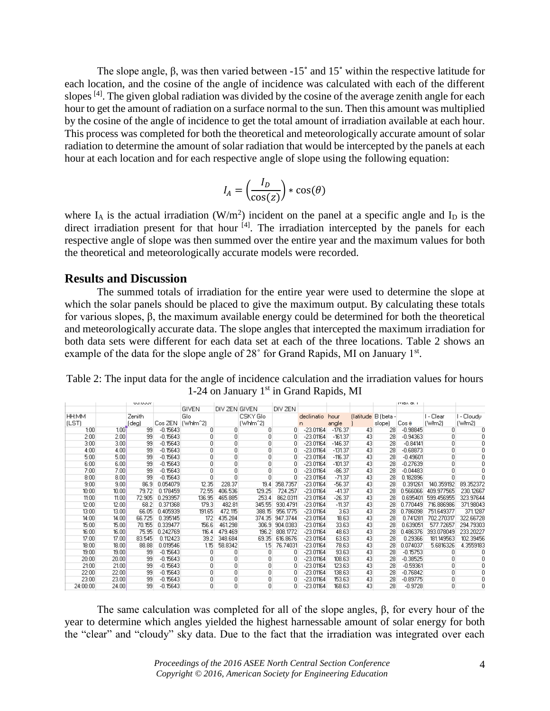The slope angle, β, was then varied between -15˚ and 15˚ within the respective latitude for each location, and the cosine of the angle of incidence was calculated with each of the different slopes <sup>[4]</sup>. The given global radiation was divided by the cosine of the average zenith angle for each hour to get the amount of radiation on a surface normal to the sun. Then this amount was multiplied by the cosine of the angle of incidence to get the total amount of irradiation available at each hour. This process was completed for both the theoretical and meteorologically accurate amount of solar radiation to determine the amount of solar radiation that would be intercepted by the panels at each hour at each location and for each respective angle of slope using the following equation:

$$
I_A = \left(\frac{I_D}{\cos(z)}\right) * \cos(\theta)
$$

where  $I_A$  is the actual irradiation (W/m<sup>2</sup>) incident on the panel at a specific angle and  $I_D$  is the direct irradiation present for that hour  $[4]$ . The irradiation intercepted by the panels for each respective angle of slope was then summed over the entire year and the maximum values for both the theoretical and meteorologically accurate models were recorded.

### **Results and Discussion**

The summed totals of irradiation for the entire year were used to determine the slope at which the solar panels should be placed to give the maximum output. By calculating these totals for various slopes, β, the maximum available energy could be determined for both the theoretical and meteorologically accurate data. The slope angles that intercepted the maximum irradiation for both data sets were different for each data set at each of the three locations. Table 2 shows an example of the data for the slope angle of 28° for Grand Rapids, MI on January 1<sup>st</sup>.

|          |       | uu.uur |            |                         |               |                       |          |             |           |    |                     | <b>ITTIOA OL I</b> |            |            |
|----------|-------|--------|------------|-------------------------|---------------|-----------------------|----------|-------------|-----------|----|---------------------|--------------------|------------|------------|
|          |       |        |            | <b>GIVEN</b>            | DIV ZEN GIVEN |                       | DIV ZEN  |             |           |    |                     |                    |            |            |
| HH:MM    |       | Zenith |            | Glo                     |               | CSKY Glo              |          | declinatio  | hour      |    | (latitude B (beta - |                    | I - Clear  | I - Cloudy |
| (LST)    |       | (deg)  | Cos ZEN    | If Whim <sup>2</sup> 21 |               | (Whim <sup>22</sup> ) |          | n           | angle     |    | slope)              | $Cos \theta$       | [W/m2]     | (Włm2)     |
| 1:00     | 1.001 | 99     | $-0.15643$ | n                       | ۵             | 0                     | n.       | $-23.01164$ | $-176.37$ | 43 | 28                  | $-0.98845$         |            |            |
| 2:00     | 2.00  | 99     | $-0.15643$ | ۵                       | 0             | ۵                     | 0        | $-23.01164$ | $-161.37$ | 43 | 28                  | $-0.94363$         |            | n          |
| 3:00     | 3.00  | 99     | $-0.15643$ | ۵                       | 0             | ۵                     |          | $-23.01164$ | $-146.37$ | 43 | 28                  | $-0.84141$         |            |            |
| 4:00     | 4.00  | 99     | $-0.15643$ |                         | 0             | 0                     |          | $-23.01164$ | $-131.37$ | 43 | 28                  | $-0.68873$         | 0          |            |
| 5:00     | 5.00  | 99     | $-0.15643$ | 0                       | 0             | 0                     | n.       | $-23.01164$ | $-116.37$ | 43 | 28                  | $-0.49601$         |            | Ω          |
| 6:00     | 6.00  | 99     | $-0.15643$ | Ω                       | ٥             | 0                     |          | $-23.01164$ | $-101.37$ | 43 | 28                  | $-0.27639$         |            |            |
| 7:00     | 7.00  | 99     | $-0.15643$ |                         | ٥             | 0                     |          | $-23.01164$ | $-86.37$  | 43 | 28                  | $-0.04483$         |            |            |
| 8:00     | 8.00  | 99     | $-0.15643$ | n                       | Ō             | n                     | ۵        | $-23.01164$ | $-71.37$  | 43 | 28                  | 0.182896           |            |            |
| 9:00     | 9.00  | 86.9   | 0.054079   | 12.35                   | 228.37        | 19.4                  | 358.7357 | $-23.01164$ | $-56.37$  | 43 | 28                  | 0.391261           | 140.359192 | 89.352372  |
| 10:00    | 10.00 | 79.72  | 0.178459   | 72.55                   | 406.536       | 129.25                | 724.257  | $-23.01164$ | $-41.37$  | 43 | 28                  | 0.566066           | 409.977565 | 230.12667  |
| 11:00    | 11.00 | 72.905 | 0.293957   | 136.95                  | 465.885       | 253.4                 | 862.0311 | $-23.01164$ | $-26.37$  | 43 | 28                  | 0.695401           | 599.456955 | 323.97644  |
| 12:00    | 12.00 | 68.2   | 0.371368   | 179.3                   | 482.81        | 345.55                | 930.4791 | $-23.01164$ | $-11.37$  | 43 | 28                  | 0.770449           | 716.886986 | 371.98043  |
| 13:00    | 13.00 | 66.05  | 0.405939   | 191.65                  | 472.115       | 388.15                | 956.1775 | $-23.01164$ | 3.63      | 43 | 28                  | 0.786098           | 751.649377 | 371.1287   |
| 14:00    | 14.00 | 66.725 | 0.395145   | 172                     | 435.284       | 374.35                | 947.3744 | $-23.01164$ | 18.63     | 43 | 28                  | 0.741281           | 702.270317 | 322.66728  |
| 15:00    | 15.00 | 70.155 | 0.339477   | 156.6                   | 461.298       | 306.9                 | 904.0383 | $-23.01164$ | 33.63     | 43 | 28                  | 0.639051           | 577.72657  | 294.79303  |
| 16:00    | 16.00 | 75.95  | 0.242769   | 116.4                   | 479.469       | 196.2                 | 808.1772 | $-23.01164$ | 48.63     | 43 | 28                  | 0.486376           | 393.078049 | 233.20227  |
| 17:00    | 17.00 | 83.545 | 0.112423   | 39.2                    | 348.684       | 69.35                 | 616.8676 | $-23.01164$ | 63.63     | 43 | 28                  | 0.29366            | 181.149563 | 102.39456  |
| 18:00    | 18.00 | 88.88  | 0.019546   | 1.15                    | 58.8342       | 15                    | 76.74031 | $-23.01164$ | 78.63     | 43 | 28                  | 0.074037           | 5.6816326  | 4.3559183  |
| 19:00    | 19.00 | 99     | $-0.15643$ | 0                       | 0             | 0                     | n        | $-23.01164$ | 93.63     | 43 | 28                  | $-0.15753$         |            |            |
| 20:00    | 20.00 | 99     | $-0.15643$ | ۵                       | 0             | 0                     | 0        | $-23.01164$ | 108.63    | 43 | 28                  | $-0.38525$         |            | n          |
| 21:00    | 21.00 | 99     | $-0.15643$ | n                       | 0             | 0                     |          | $-23.01164$ | 123.63    | 43 | 28                  | $-0.59361$         |            |            |
| 22:00    | 22.00 | 99     | $-0.15643$ | Ω                       | 0             | 0                     |          | $-23.01164$ | 138.63    | 43 | 28                  | $-0.76842$         | 0.         |            |
| 23:00    | 23.00 | 99     | $-0.15643$ | 0                       | 0             | 0                     | n.       | $-23.01164$ | 153.63    | 43 | 28                  | $-0.89775$         |            | n          |
| 24:00:00 | 24.00 | 99     | $-0.15643$ | n                       | Ō             | 0                     | n.       | $-23.01164$ | 168.63    | 43 | 28                  | $-0.9728$          |            | Ω          |

Table 2: The input data for the angle of incidence calculation and the irradiation values for hours 1-24 on January  $1<sup>st</sup>$  in Grand Rapids, MI

The same calculation was completed for all of the slope angles, β, for every hour of the year to determine which angles yielded the highest harnessable amount of solar energy for both the "clear" and "cloudy" sky data. Due to the fact that the irradiation was integrated over each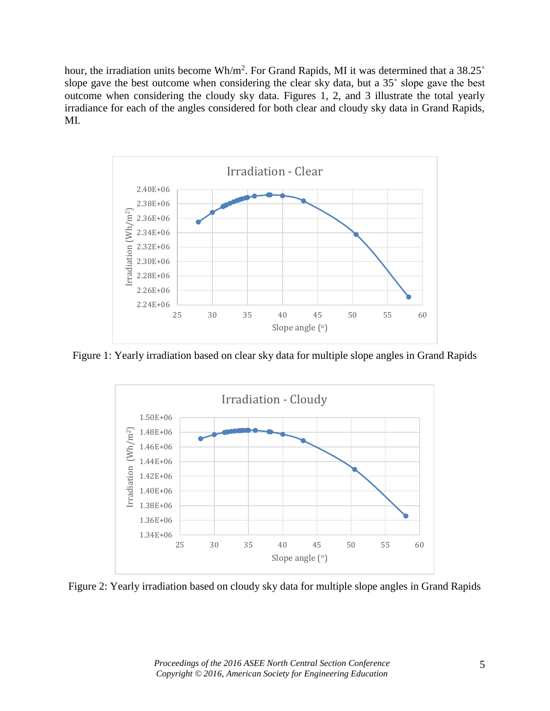hour, the irradiation units become  $Wh/m^2$ . For Grand Rapids, MI it was determined that a 38.25 $^{\circ}$ slope gave the best outcome when considering the clear sky data, but a 35˚ slope gave the best outcome when considering the cloudy sky data. Figures 1, 2, and 3 illustrate the total yearly irradiance for each of the angles considered for both clear and cloudy sky data in Grand Rapids, MI.



Figure 1: Yearly irradiation based on clear sky data for multiple slope angles in Grand Rapids



Figure 2: Yearly irradiation based on cloudy sky data for multiple slope angles in Grand Rapids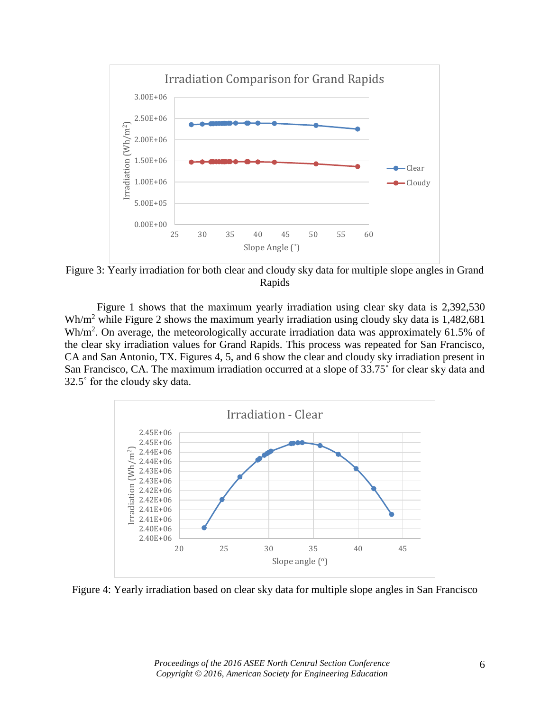

Figure 3: Yearly irradiation for both clear and cloudy sky data for multiple slope angles in Grand Rapids

Figure 1 shows that the maximum yearly irradiation using clear sky data is 2,392,530 Wh/m<sup>2</sup> while Figure 2 shows the maximum yearly irradiation using cloudy sky data is 1,482,681  $Wh/m<sup>2</sup>$ . On average, the meteorologically accurate irradiation data was approximately 61.5% of the clear sky irradiation values for Grand Rapids. This process was repeated for San Francisco, CA and San Antonio, TX. Figures 4, 5, and 6 show the clear and cloudy sky irradiation present in San Francisco, CA. The maximum irradiation occurred at a slope of 33.75˚ for clear sky data and 32.5˚ for the cloudy sky data.



Figure 4: Yearly irradiation based on clear sky data for multiple slope angles in San Francisco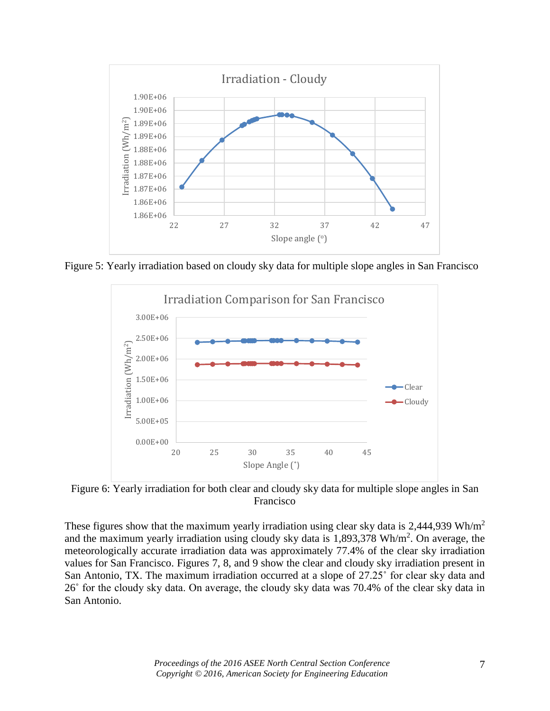

Figure 5: Yearly irradiation based on cloudy sky data for multiple slope angles in San Francisco



Figure 6: Yearly irradiation for both clear and cloudy sky data for multiple slope angles in San Francisco

These figures show that the maximum yearly irradiation using clear sky data is  $2,444,939 \text{ Wh/m}^2$ and the maximum yearly irradiation using cloudy sky data is  $1,893,378$  Wh/m<sup>2</sup>. On average, the meteorologically accurate irradiation data was approximately 77.4% of the clear sky irradiation values for San Francisco. Figures 7, 8, and 9 show the clear and cloudy sky irradiation present in San Antonio, TX. The maximum irradiation occurred at a slope of 27.25˚ for clear sky data and 26˚ for the cloudy sky data. On average, the cloudy sky data was 70.4% of the clear sky data in San Antonio.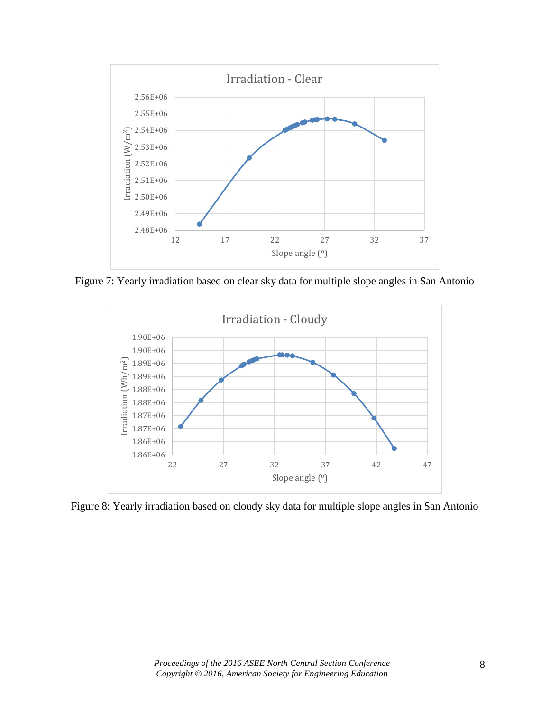

Figure 7: Yearly irradiation based on clear sky data for multiple slope angles in San Antonio



Figure 8: Yearly irradiation based on cloudy sky data for multiple slope angles in San Antonio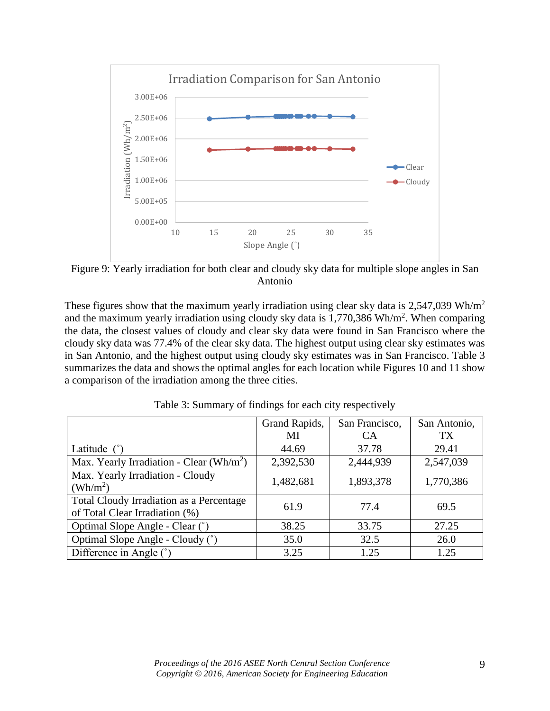

Figure 9: Yearly irradiation for both clear and cloudy sky data for multiple slope angles in San Antonio

These figures show that the maximum yearly irradiation using clear sky data is  $2,547,039 \text{ Wh/m}^2$ and the maximum yearly irradiation using cloudy sky data is  $1,770,386$  Wh/m<sup>2</sup>. When comparing the data, the closest values of cloudy and clear sky data were found in San Francisco where the cloudy sky data was 77.4% of the clear sky data. The highest output using clear sky estimates was in San Antonio, and the highest output using cloudy sky estimates was in San Francisco. Table 3 summarizes the data and shows the optimal angles for each location while Figures 10 and 11 show a comparison of the irradiation among the three cities.

|                                                                            | Grand Rapids, | San Francisco, | San Antonio, |
|----------------------------------------------------------------------------|---------------|----------------|--------------|
|                                                                            | MI            | <b>CA</b>      | <b>TX</b>    |
| Latitude $(°)$                                                             | 44.69         | 37.78          | 29.41        |
| Max. Yearly Irradiation - Clear (Wh/m <sup>2</sup> )                       | 2,392,530     | 2,444,939      | 2,547,039    |
| Max. Yearly Irradiation - Cloudy<br>$(Wh/m^2)$                             | 1,482,681     | 1,893,378      | 1,770,386    |
| Total Cloudy Irradiation as a Percentage<br>of Total Clear Irradiation (%) | 61.9          | 77.4           | 69.5         |
| Optimal Slope Angle - Clear (°)                                            | 38.25         | 33.75          | 27.25        |
| Optimal Slope Angle - Cloudy (°)                                           | 35.0          | 32.5           | 26.0         |
| Difference in Angle (°)                                                    | 3.25          | 1.25           | 1.25         |

Table 3: Summary of findings for each city respectively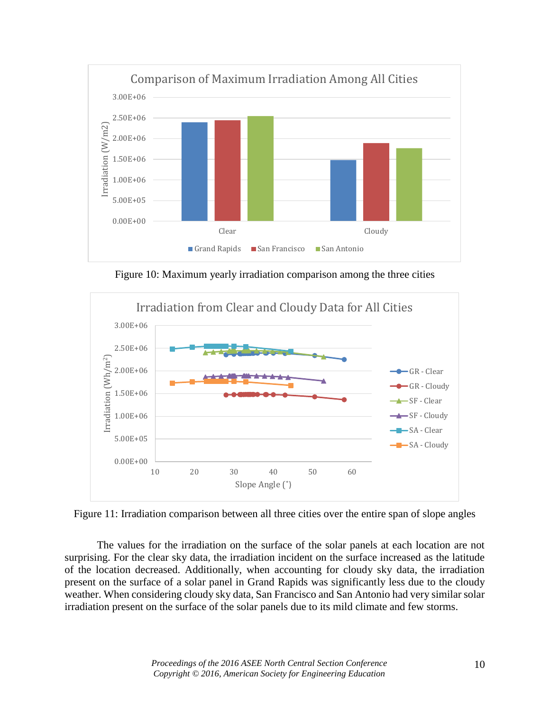

Figure 10: Maximum yearly irradiation comparison among the three cities



Figure 11: Irradiation comparison between all three cities over the entire span of slope angles

The values for the irradiation on the surface of the solar panels at each location are not surprising. For the clear sky data, the irradiation incident on the surface increased as the latitude of the location decreased. Additionally, when accounting for cloudy sky data, the irradiation present on the surface of a solar panel in Grand Rapids was significantly less due to the cloudy weather. When considering cloudy sky data, San Francisco and San Antonio had very similar solar irradiation present on the surface of the solar panels due to its mild climate and few storms.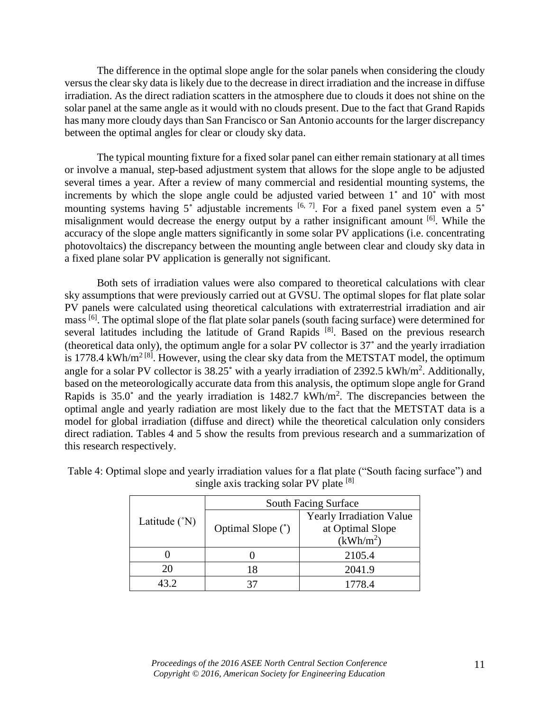The difference in the optimal slope angle for the solar panels when considering the cloudy versus the clear sky data is likely due to the decrease in direct irradiation and the increase in diffuse irradiation. As the direct radiation scatters in the atmosphere due to clouds it does not shine on the solar panel at the same angle as it would with no clouds present. Due to the fact that Grand Rapids has many more cloudy days than San Francisco or San Antonio accounts for the larger discrepancy between the optimal angles for clear or cloudy sky data.

The typical mounting fixture for a fixed solar panel can either remain stationary at all times or involve a manual, step-based adjustment system that allows for the slope angle to be adjusted several times a year. After a review of many commercial and residential mounting systems, the increments by which the slope angle could be adjusted varied between 1˚ and 10˚ with most mounting systems having 5° adjustable increments  $[6, 7]$ . For a fixed panel system even a 5° misalignment would decrease the energy output by a rather insignificant amount [6]. While the accuracy of the slope angle matters significantly in some solar PV applications (i.e. concentrating photovoltaics) the discrepancy between the mounting angle between clear and cloudy sky data in a fixed plane solar PV application is generally not significant.

Both sets of irradiation values were also compared to theoretical calculations with clear sky assumptions that were previously carried out at GVSU. The optimal slopes for flat plate solar PV panels were calculated using theoretical calculations with extraterrestrial irradiation and air mass [6]. The optimal slope of the flat plate solar panels (south facing surface) were determined for several latitudes including the latitude of Grand Rapids<sup>[8]</sup>. Based on the previous research (theoretical data only), the optimum angle for a solar PV collector is 37˚ and the yearly irradiation is 1778.4 kWh/m<sup>2 [8]</sup>. However, using the clear sky data from the METSTAT model, the optimum angle for a solar PV collector is  $38.25^{\circ}$  with a yearly irradiation of  $2392.5 \text{ kWh/m}^2$ . Additionally, based on the meteorologically accurate data from this analysis, the optimum slope angle for Grand Rapids is  $35.0^{\circ}$  and the yearly irradiation is  $1482.7 \text{ kWh/m}^2$ . The discrepancies between the optimal angle and yearly radiation are most likely due to the fact that the METSTAT data is a model for global irradiation (diffuse and direct) while the theoretical calculation only considers direct radiation. Tables 4 and 5 show the results from previous research and a summarization of this research respectively.

|                          | South Facing Surface |                                 |  |  |
|--------------------------|----------------------|---------------------------------|--|--|
| Latitude $({}^{\circ}N)$ |                      | <b>Yearly Irradiation Value</b> |  |  |
|                          | Optimal Slope (°)    | at Optimal Slope                |  |  |
|                          |                      | $(kWh/m^2)$                     |  |  |
|                          |                      | 2105.4                          |  |  |
| 20                       | 18                   | 2041.9                          |  |  |
|                          |                      | 1778.4                          |  |  |

Table 4: Optimal slope and yearly irradiation values for a flat plate ("South facing surface") and single axis tracking solar PV plate [8]